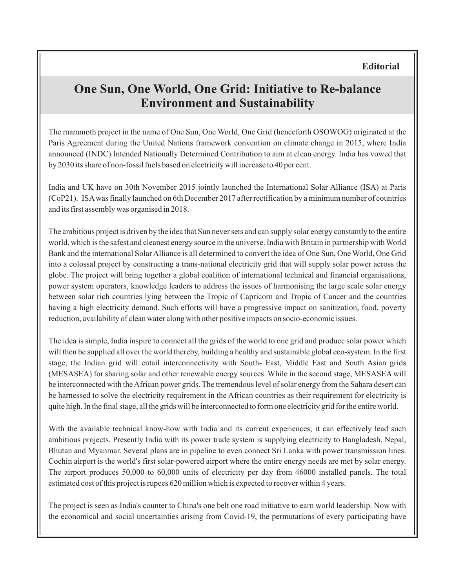## **One Sun, One World, One Grid: Initiative to Re-balance Environment and Sustainability**

The mammoth project in the name of One Sun, One World, One Grid (henceforth OSOWOG) originated at the Paris Agreement during the United Nations framework convention on climate change in 2015, where India announced (INDC) Intended Nationally Determined Contribution to aim at clean energy. India has vowed that by 2030 its share of non-fossil fuels based on electricity will increase to 40 per cent.

India and UK have on 30th November 2015 jointly launched the International Solar Alliance (ISA) at Paris (CoP21). ISAwas finally launched on 6th December 2017 after rectification by a minimum number of countries and its first assembly was organised in 2018.

The ambitious project is driven by the idea that Sun never sets and can supply solar energy constantly to the entire world, which is the safest and cleanest energy source in the universe. India with Britain in partnership with World Bank and the international Solar Alliance is all determined to convert the idea of One Sun, One World, One Grid into a colossal project by constructing a trans-national electricity grid that will supply solar power across the globe. The project will bring together a global coalition of international technical and financial organisations, power system operators, knowledge leaders to address the issues of harmonising the large scale solar energy between solar rich countries lying between the Tropic of Capricorn and Tropic of Cancer and the countries having a high electricity demand. Such efforts will have a progressive impact on sanitization, food, poverty reduction, availability of clean water along with other positive impacts on socio-economic issues.

The idea is simple, India inspire to connect all the grids of the world to one grid and produce solar power which will then be supplied all over the world thereby, building a healthy and sustainable global eco-system. In the first stage, the Indian grid will entail interconnectivity with South- East, Middle East and South Asian grids (MESASEA) for sharing solar and other renewable energy sources. While in the second stage, MESASEA will be interconnected with the African power grids. The tremendous level of solar energy from the Sahara desert can be harnessed to solve the electricity requirement in the African countries as their requirement for electricity is quite high. In the final stage, all the grids will be interconnected to form one electricity grid for the entire world.

With the available technical know-how with India and its current experiences, it can effectively lead such ambitious projects. Presently India with its power trade system is supplying electricity to Bangladesh, Nepal, Bhutan and Myanmar. Several plans are in pipeline to even connect Sri Lanka with power transmission lines. Cochin airport is the world's first solar-powered airport where the entire energy needs are met by solar energy. The airport produces 50,000 to 60,000 units of electricity per day from 46000 installed panels. The total estimated cost of this project is rupees 620 million which is expected to recover within 4 years.

The project is seen as India's counter to China's one belt one road initiative to earn world leadership. Now with the economical and social uncertainties arising from Covid-19, the permutations of every participating have